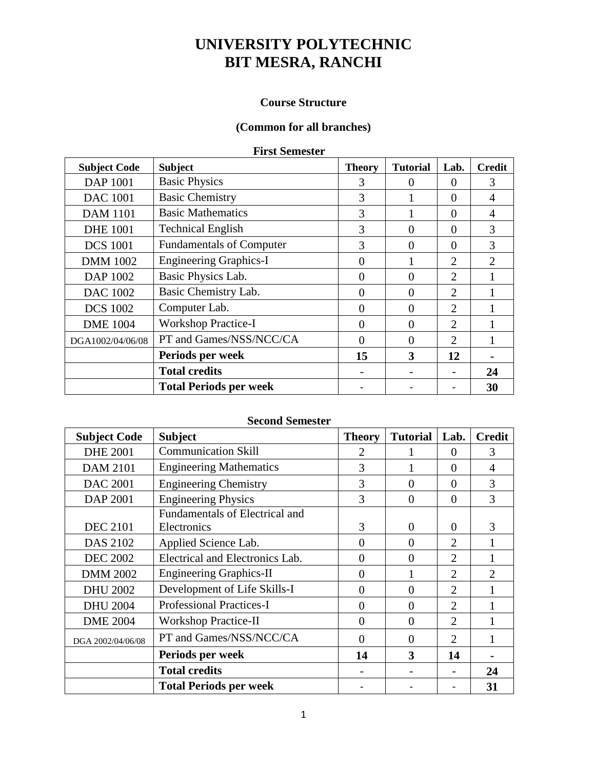### **Course Structure**

### **(Common for all branches)**

#### **First Semester**

| <b>Subject Code</b> | <b>Subject</b>                  | <b>Theory</b> | <b>Tutorial</b> | Lab.           | <b>Credit</b> |
|---------------------|---------------------------------|---------------|-----------------|----------------|---------------|
| <b>DAP 1001</b>     | <b>Basic Physics</b>            | 3             | 0               | $\theta$       | 3             |
| <b>DAC 1001</b>     | <b>Basic Chemistry</b>          | 3             |                 | $\Omega$       | 4             |
| <b>DAM 1101</b>     | <b>Basic Mathematics</b>        | 3             |                 | $\Omega$       | 4             |
| <b>DHE 1001</b>     | <b>Technical English</b>        | 3             | 0               | $\Omega$       | 3             |
| <b>DCS</b> 1001     | <b>Fundamentals of Computer</b> | 3             | 0               | $\Omega$       | 3             |
| <b>DMM</b> 1002     | <b>Engineering Graphics-I</b>   | $\Omega$      |                 | $\overline{2}$ | 2             |
| DAP 1002            | Basic Physics Lab.              | $\Omega$      | $\Omega$        | 2              |               |
| <b>DAC 1002</b>     | Basic Chemistry Lab.            | $\Omega$      | 0               | $\overline{2}$ |               |
| <b>DCS 1002</b>     | Computer Lab.                   | $\Omega$      | 0               | $\overline{2}$ |               |
| <b>DME</b> 1004     | <b>Workshop Practice-I</b>      | $\Omega$      | 0               | $\overline{2}$ |               |
| DGA1002/04/06/08    | PT and Games/NSS/NCC/CA         | $\Omega$      | 0               | $\overline{2}$ |               |
|                     | Periods per week                | 15            | 3               | 12             |               |
|                     | <b>Total credits</b>            |               |                 |                | 24            |
|                     | <b>Total Periods per week</b>   |               |                 |                | 30            |

### **Second Semester**

| <b>Subject Code</b> | <b>Subject</b>                  | <b>Theory</b> | <b>Tutorial</b> | Lab.                        | <b>Credit</b>  |
|---------------------|---------------------------------|---------------|-----------------|-----------------------------|----------------|
| <b>DHE 2001</b>     | <b>Communication Skill</b>      | 2             |                 | $\Omega$                    | 3              |
| <b>DAM 2101</b>     | <b>Engineering Mathematics</b>  | 3             |                 | $\Omega$                    | 4              |
| <b>DAC 2001</b>     | <b>Engineering Chemistry</b>    | 3             | $\theta$        | $\Omega$                    | 3              |
| DAP 2001            | <b>Engineering Physics</b>      | 3             | 0               | $\overline{0}$              | 3              |
|                     | Fundamentals of Electrical and  |               |                 |                             |                |
| <b>DEC 2101</b>     | Electronics                     | 3             | 0               | $\theta$                    | 3              |
| <b>DAS 2102</b>     | Applied Science Lab.            | $\Omega$      | $\theta$        | 2                           |                |
| <b>DEC 2002</b>     | Electrical and Electronics Lab. | $\Omega$      | $\theta$        | 2                           |                |
| <b>DMM 2002</b>     | <b>Engineering Graphics-II</b>  | 0             |                 | $\overline{2}$              | $\mathfrak{2}$ |
| <b>DHU 2002</b>     | Development of Life Skills-I    | 0             | $\theta$        | 2                           |                |
| <b>DHU 2004</b>     | <b>Professional Practices-I</b> | $\Omega$      | $\theta$        | 2                           |                |
| <b>DME 2004</b>     | <b>Workshop Practice-II</b>     | 0             | $\theta$        | 2                           |                |
| DGA 2002/04/06/08   | PT and Games/NSS/NCC/CA         | 0             | 0               | $\mathcal{D}_{\mathcal{L}}$ |                |
|                     | Periods per week                | 14            | 3               | 14                          |                |
|                     | <b>Total credits</b>            |               |                 |                             | 24             |
|                     | <b>Total Periods per week</b>   |               |                 |                             | 31             |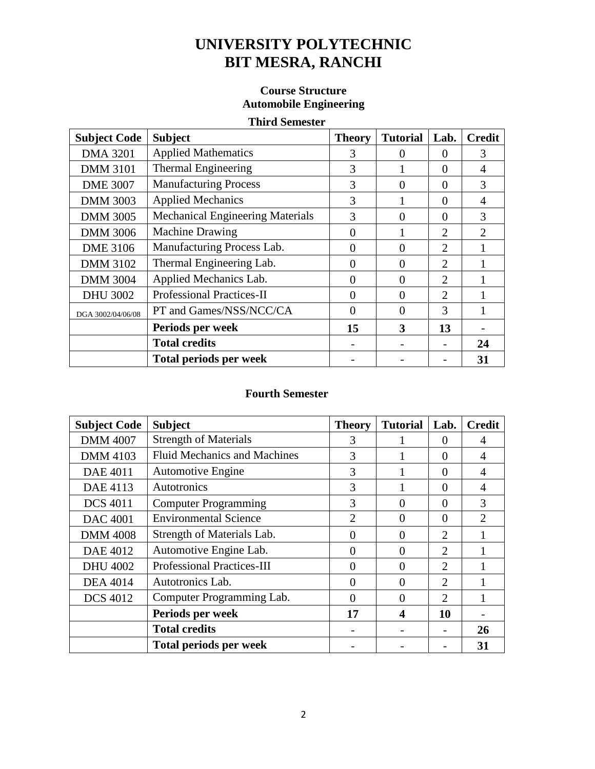### **Course Structure Automobile Engineering**

### **Third Semester**

| <b>Subject Code</b> | <b>Subject</b>                          | <b>Theory</b> | <b>Tutorial</b> | Lab.           | <b>Credit</b>               |
|---------------------|-----------------------------------------|---------------|-----------------|----------------|-----------------------------|
| <b>DMA 3201</b>     | <b>Applied Mathematics</b>              | 3             | 0               | $\Omega$       | 3                           |
| <b>DMM 3101</b>     | Thermal Engineering                     | 3             |                 | $\theta$       | 4                           |
| <b>DME 3007</b>     | <b>Manufacturing Process</b>            | 3             | $\Omega$        | $\Omega$       | 3                           |
| <b>DMM 3003</b>     | <b>Applied Mechanics</b>                | 3             |                 | $\overline{0}$ | 4                           |
| <b>DMM 3005</b>     | <b>Mechanical Engineering Materials</b> | 3             | $\Omega$        | $\Omega$       | 3                           |
| <b>DMM 3006</b>     | <b>Machine Drawing</b>                  | $\theta$      |                 | $\overline{2}$ | $\mathcal{D}_{\mathcal{L}}$ |
| <b>DME 3106</b>     | Manufacturing Process Lab.              | $\theta$      | $\Omega$        | $\overline{2}$ |                             |
| <b>DMM 3102</b>     | Thermal Engineering Lab.                | $\Omega$      | $\Omega$        | 2              |                             |
| <b>DMM 3004</b>     | Applied Mechanics Lab.                  | $\theta$      | $\Omega$        | 2              |                             |
| <b>DHU 3002</b>     | <b>Professional Practices-II</b>        | $\Omega$      | $\Omega$        | 2              |                             |
| DGA 3002/04/06/08   | PT and Games/NSS/NCC/CA                 | $\Omega$      | $\Omega$        | $\mathcal{R}$  |                             |
|                     | Periods per week                        | 15            | 3               | 13             |                             |
|                     | <b>Total credits</b>                    |               |                 |                | 24                          |
|                     | <b>Total periods per week</b>           |               |                 |                | 31                          |

| <b>Subject Code</b> | <b>Subject</b>                      | <b>Theory</b>  | <b>Tutorial</b> | Lab.                        | <b>Credit</b>               |
|---------------------|-------------------------------------|----------------|-----------------|-----------------------------|-----------------------------|
| <b>DMM 4007</b>     | <b>Strength of Materials</b>        | 3              |                 | $\theta$                    | 4                           |
| <b>DMM 4103</b>     | <b>Fluid Mechanics and Machines</b> | 3              |                 | $\Omega$                    | $\overline{A}$              |
| <b>DAE 4011</b>     | <b>Automotive Engine</b>            | 3              |                 | $\Omega$                    | 4                           |
| DAE 4113            | Autotronics                         | 3              |                 | $\Omega$                    | 4                           |
| <b>DCS 4011</b>     | <b>Computer Programming</b>         | 3              | 0               | $\Omega$                    | 3                           |
| <b>DAC 4001</b>     | <b>Environmental Science</b>        | $\overline{2}$ | 0               | $\Omega$                    | $\mathcal{D}_{\mathcal{A}}$ |
| <b>DMM 4008</b>     | Strength of Materials Lab.          | $\Omega$       | 0               | $\overline{2}$              |                             |
| <b>DAE 4012</b>     | Automotive Engine Lab.              | $\theta$       | 0               | $\overline{2}$              |                             |
| <b>DHU 4002</b>     | <b>Professional Practices-III</b>   | $\theta$       |                 | $\overline{2}$              |                             |
| <b>DEA 4014</b>     | Autotronics Lab.                    | $\theta$       |                 | $\overline{2}$              |                             |
| <b>DCS 4012</b>     | Computer Programming Lab.           | $\Omega$       |                 | $\mathcal{D}_{\mathcal{L}}$ |                             |
|                     | Periods per week                    | 17             | 4               | 10                          |                             |
|                     | <b>Total credits</b>                |                |                 |                             | 26                          |
|                     | <b>Total periods per week</b>       |                |                 |                             | 31                          |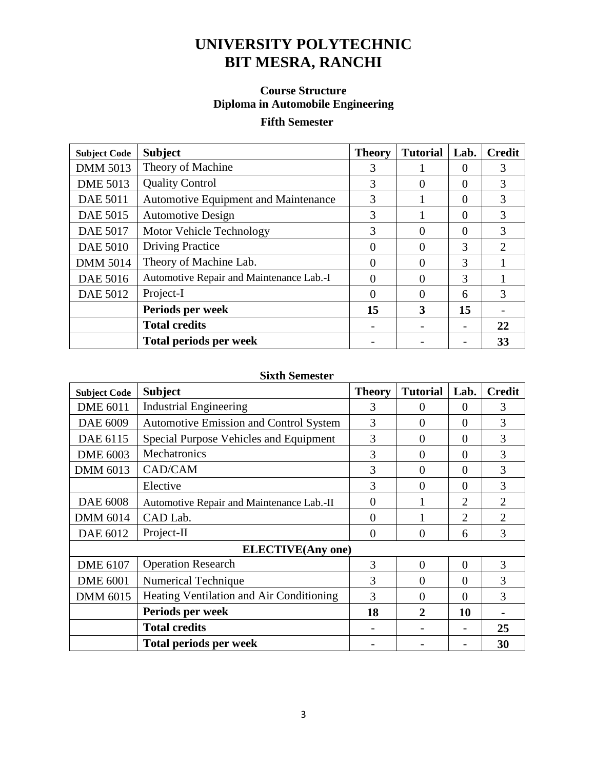## **Course Structure Diploma in Automobile Engineering**

# **Fifth Semester**

| <b>Subject Code</b> | <b>Subject</b>                           | <b>Theory</b> | <b>Tutorial</b> | Lab.          | <b>Credit</b> |
|---------------------|------------------------------------------|---------------|-----------------|---------------|---------------|
| <b>DMM 5013</b>     | Theory of Machine                        | 3             |                 | 0             | 3             |
| <b>DME 5013</b>     | <b>Quality Control</b>                   | 3             | 0               | $\Omega$      | 3             |
| <b>DAE 5011</b>     | Automotive Equipment and Maintenance     | 3             |                 | $\Omega$      | 3             |
| DAE 5015            | <b>Automotive Design</b>                 | 3             |                 | $\Omega$      | 3             |
| <b>DAE 5017</b>     | Motor Vehicle Technology                 | 3             |                 | 0             | 3             |
| <b>DAE 5010</b>     | <b>Driving Practice</b>                  |               |                 | 3             | $\mathcal{D}$ |
| <b>DMM 5014</b>     | Theory of Machine Lab.                   |               |                 | $\mathcal{R}$ |               |
| <b>DAE 5016</b>     | Automotive Repair and Maintenance Lab.-I | 0             |                 | $\mathcal{R}$ |               |
| DAE 5012            | Project-I                                | 0             |                 | 6             | 3             |
|                     | Periods per week                         | 15            | 3               | 15            |               |
|                     | <b>Total credits</b>                     |               |                 |               | 22            |
|                     | <b>Total periods per week</b>            |               |                 |               | 33            |

| <b>Subject Code</b> | <b>Subject</b>                                | <b>Theory</b>  | <b>Tutorial</b> | Lab.           | <b>Credit</b>  |
|---------------------|-----------------------------------------------|----------------|-----------------|----------------|----------------|
| <b>DME 6011</b>     | <b>Industrial Engineering</b>                 | 3              | 0               | $\Omega$       | 3              |
| DAE 6009            | <b>Automotive Emission and Control System</b> | 3              | $\overline{0}$  | $\overline{0}$ | 3              |
| DAE 6115            | Special Purpose Vehicles and Equipment        | 3              | $\Omega$        | $\Omega$       | 3              |
| <b>DME 6003</b>     | Mechatronics                                  | 3              | $\Omega$        | $\Omega$       | 3              |
| DMM 6013            | CAD/CAM                                       | 3              | $\Omega$        | $\Omega$       | 3              |
|                     | Elective                                      | 3              | $\Omega$        | $\Omega$       | 3              |
| <b>DAE 6008</b>     | Automotive Repair and Maintenance Lab.-II     | $\overline{0}$ |                 | $\overline{2}$ | $\overline{2}$ |
| <b>DMM 6014</b>     | CAD Lab.                                      | $\overline{0}$ |                 | $\overline{2}$ | $\overline{2}$ |
| DAE 6012            | Project-II                                    | $\theta$       | $\Omega$        | 6              | 3              |
|                     | <b>ELECTIVE</b> (Any one)                     |                |                 |                |                |
| <b>DME 6107</b>     | <b>Operation Research</b>                     | 3              | $\theta$        | $\theta$       | 3              |
| <b>DME 6001</b>     | Numerical Technique                           | 3              | $\overline{0}$  | $\Omega$       | 3              |
| <b>DMM 6015</b>     | Heating Ventilation and Air Conditioning      | 3              | $\theta$        | $\Omega$       | 3              |
|                     | Periods per week                              | 18             | $\mathbf{2}$    | 10             |                |
|                     | <b>Total credits</b>                          |                |                 |                | 25             |
|                     | <b>Total periods per week</b>                 |                |                 |                | 30             |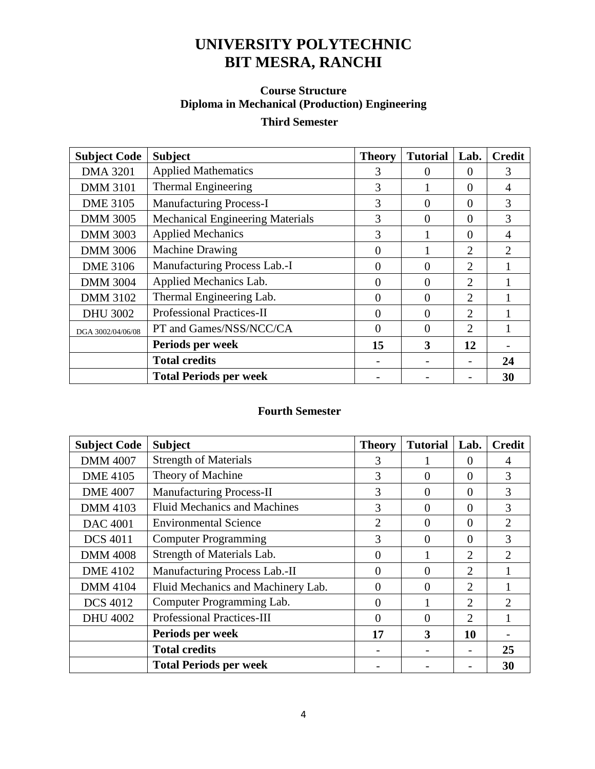# **Course Structure Diploma in Mechanical (Production) Engineering**

## **Third Semester**

| <b>Subject Code</b> | <b>Subject</b>                          | <b>Theory</b> | <b>Tutorial</b> | Lab.                        | <b>Credit</b>               |
|---------------------|-----------------------------------------|---------------|-----------------|-----------------------------|-----------------------------|
| <b>DMA 3201</b>     | <b>Applied Mathematics</b>              | 3             | $\theta$        | 0                           | 3                           |
| <b>DMM 3101</b>     | Thermal Engineering                     | 3             |                 | 0                           | 4                           |
| <b>DME 3105</b>     | <b>Manufacturing Process-I</b>          | 3             | $\Omega$        | $\Omega$                    | 3                           |
| <b>DMM 3005</b>     | <b>Mechanical Engineering Materials</b> | 3             | $\Omega$        | 0                           | 3                           |
| <b>DMM 3003</b>     | <b>Applied Mechanics</b>                | 3             |                 | $\Omega$                    | 4                           |
| <b>DMM 3006</b>     | <b>Machine Drawing</b>                  | 0             |                 | $\overline{2}$              | $\mathcal{D}_{\mathcal{L}}$ |
| <b>DME 3106</b>     | Manufacturing Process Lab.-I            | 0             | 0               | $\overline{2}$              |                             |
| <b>DMM 3004</b>     | Applied Mechanics Lab.                  | 0             | $\Omega$        | $\overline{2}$              |                             |
| <b>DMM 3102</b>     | Thermal Engineering Lab.                | 0             | 0               | $\mathcal{D}_{\mathcal{L}}$ |                             |
| <b>DHU 3002</b>     | <b>Professional Practices-II</b>        | $\Omega$      | $\theta$        | $\overline{2}$              |                             |
| DGA 3002/04/06/08   | PT and Games/NSS/NCC/CA                 | 0             | $\Omega$        | 2                           |                             |
|                     | Periods per week                        | 15            | 3               | 12                          |                             |
|                     | <b>Total credits</b>                    |               |                 |                             | 24                          |
|                     | <b>Total Periods per week</b>           |               |                 |                             | 30                          |

| <b>Subject Code</b> | <b>Subject</b>                      | <b>Theory</b>  | <b>Tutorial</b> | Lab.                        | <b>Credit</b>               |
|---------------------|-------------------------------------|----------------|-----------------|-----------------------------|-----------------------------|
| <b>DMM 4007</b>     | <b>Strength of Materials</b>        | 3              |                 | $\theta$                    | 4                           |
| <b>DME</b> 4105     | Theory of Machine                   | 3              | 0               | $\Omega$                    | 3                           |
| <b>DME 4007</b>     | <b>Manufacturing Process-II</b>     | 3              | $\Omega$        | $\Omega$                    | 3                           |
| <b>DMM 4103</b>     | <b>Fluid Mechanics and Machines</b> | 3              | $\Omega$        | $\Omega$                    | 3                           |
| <b>DAC 4001</b>     | <b>Environmental Science</b>        | $\overline{2}$ | $\Omega$        | $\Omega$                    | $\overline{2}$              |
| <b>DCS 4011</b>     | <b>Computer Programming</b>         | 3              | $\theta$        | $\Omega$                    | 3                           |
| <b>DMM 4008</b>     | Strength of Materials Lab.          | $\Omega$       |                 | 2                           | $\mathcal{D}_{\mathcal{L}}$ |
| <b>DME 4102</b>     | Manufacturing Process Lab.-II       | $\Omega$       | $\Omega$        | $\overline{2}$              |                             |
| <b>DMM 4104</b>     | Fluid Mechanics and Machinery Lab.  | $\theta$       | $\theta$        | $\mathcal{D}_{\mathcal{L}}$ |                             |
| <b>DCS 4012</b>     | Computer Programming Lab.           | $\Omega$       |                 | 2                           | $\mathcal{D}_{\mathcal{A}}$ |
| <b>DHU 4002</b>     | <b>Professional Practices-III</b>   | $\theta$       | $\theta$        | $\mathcal{D}_{\mathcal{L}}$ |                             |
|                     | Periods per week                    | 17             | 3               | 10                          |                             |
|                     | <b>Total credits</b>                |                |                 |                             | 25                          |
|                     | <b>Total Periods per week</b>       |                |                 |                             | 30                          |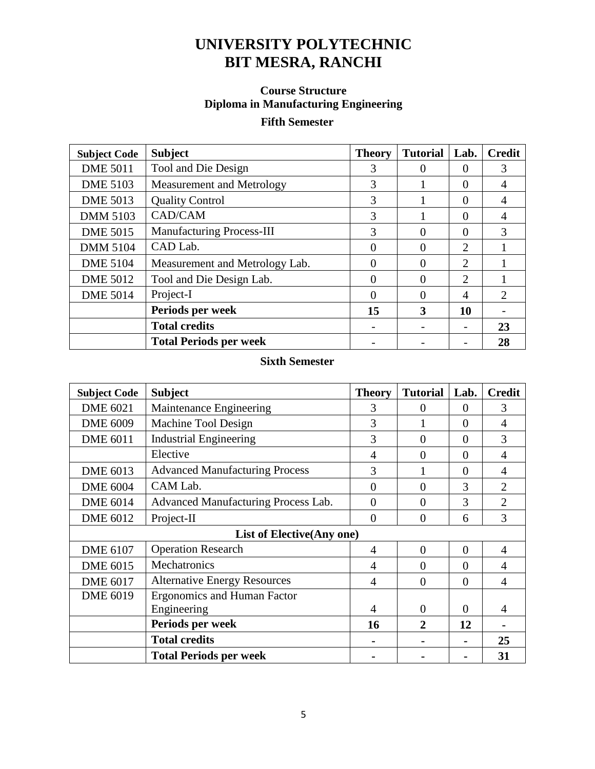# **Course Structure Diploma in Manufacturing Engineering**

# **Fifth Semester**

| <b>Subject Code</b> | <b>Subject</b>                   | <b>Theory</b> | <b>Tutorial</b> | Lab.           | <b>Credit</b> |
|---------------------|----------------------------------|---------------|-----------------|----------------|---------------|
| <b>DME 5011</b>     | Tool and Die Design              | 3             |                 | 0              | 3             |
| <b>DME 5103</b>     | Measurement and Metrology        | 3             |                 | $\Omega$       | 4             |
| <b>DME 5013</b>     | <b>Quality Control</b>           | 3             |                 | $\Omega$       | 4             |
| <b>DMM 5103</b>     | CAD/CAM                          | 3             |                 | $\Omega$       | 4             |
| <b>DME 5015</b>     | <b>Manufacturing Process-III</b> | 3             | $\Omega$        | $\Omega$       | 3             |
| <b>DMM 5104</b>     | CAD Lab.                         | $\Omega$      |                 | $\overline{2}$ |               |
| <b>DME 5104</b>     | Measurement and Metrology Lab.   | 0             | $\Omega$        | $\overline{2}$ |               |
| <b>DME 5012</b>     | Tool and Die Design Lab.         | 0             |                 | $\overline{2}$ |               |
| <b>DME 5014</b>     | Project-I                        | 0             |                 | $\overline{4}$ | 2             |
|                     | Periods per week                 | 15            | 3               | 10             |               |
|                     | <b>Total credits</b>             |               |                 |                | 23            |
|                     | <b>Total Periods per week</b>    |               |                 |                | 28            |

| <b>Subject Code</b> | <b>Subject</b>                        | <b>Theory</b>  | <b>Tutorial</b> | Lab.           | <b>Credit</b>  |
|---------------------|---------------------------------------|----------------|-----------------|----------------|----------------|
| <b>DME 6021</b>     | Maintenance Engineering               | 3              | $\Omega$        | $\theta$       | 3              |
| <b>DME 6009</b>     | Machine Tool Design                   | 3              |                 | $\theta$       | 4              |
| <b>DME 6011</b>     | <b>Industrial Engineering</b>         | 3              | $\theta$        | $\theta$       | 3              |
|                     | Elective                              | $\overline{4}$ | $\overline{0}$  | $\Omega$       | $\overline{4}$ |
| <b>DME 6013</b>     | <b>Advanced Manufacturing Process</b> | 3              |                 | $\overline{0}$ | 4              |
| <b>DME 6004</b>     | CAM Lab.                              | $\overline{0}$ | $\theta$        | 3              | $\overline{2}$ |
| <b>DME 6014</b>     | Advanced Manufacturing Process Lab.   | $\overline{0}$ | $\theta$        | 3              | $\overline{2}$ |
| <b>DME 6012</b>     | Project-II                            | $\theta$       | $\theta$        | 6              | 3              |
|                     | List of Elective (Any one)            |                |                 |                |                |
| <b>DME 6107</b>     | <b>Operation Research</b>             | 4              | $\theta$        | $\Omega$       | $\overline{4}$ |
| <b>DME 6015</b>     | Mechatronics                          | 4              | $\theta$        | $\theta$       | 4              |
| <b>DME 6017</b>     | <b>Alternative Energy Resources</b>   | 4              | $\overline{0}$  | $\overline{0}$ | 4              |
| <b>DME 6019</b>     | <b>Ergonomics and Human Factor</b>    |                |                 |                |                |
|                     | Engineering                           | 4              | $\Omega$        | $\Omega$       | 4              |
|                     | Periods per week                      | 16             | $\mathbf 2$     | 12             |                |
|                     | <b>Total credits</b>                  |                |                 |                | 25             |
|                     | <b>Total Periods per week</b>         |                |                 |                | 31             |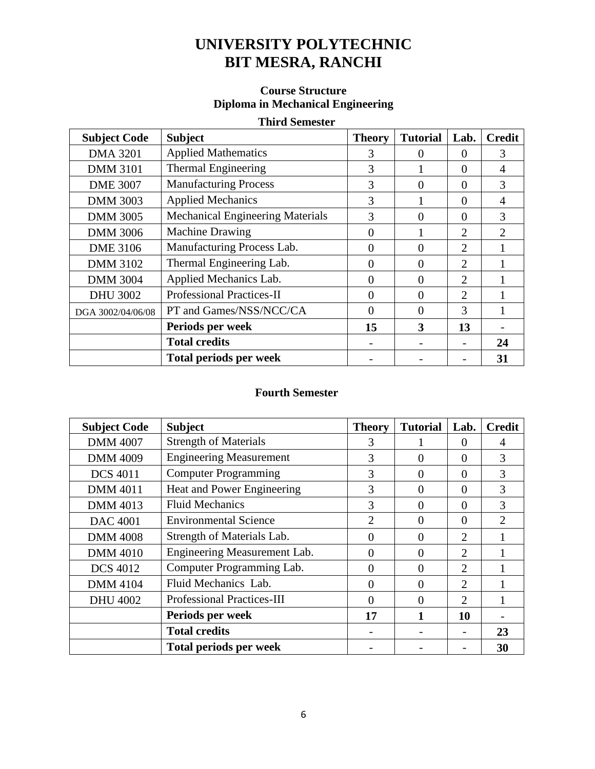### **Course Structure Diploma in Mechanical Engineering**

### **Third Semester**

| <b>Subject Code</b> | <b>Subject</b>                          | <b>Theory</b> | <b>Tutorial</b>   | Lab.                        | <b>Credit</b>               |
|---------------------|-----------------------------------------|---------------|-------------------|-----------------------------|-----------------------------|
| <b>DMA 3201</b>     | <b>Applied Mathematics</b>              | 3             | $\mathbf{\Omega}$ | $\theta$                    | 3                           |
| <b>DMM 3101</b>     | Thermal Engineering                     | 3             |                   | $\Omega$                    | 4                           |
| <b>DME 3007</b>     | <b>Manufacturing Process</b>            | 3             | $\Omega$          | $\Omega$                    | 3                           |
| <b>DMM 3003</b>     | <b>Applied Mechanics</b>                | 3             |                   | $\Omega$                    | 4                           |
| <b>DMM 3005</b>     | <b>Mechanical Engineering Materials</b> | 3             | $\Omega$          | $\Omega$                    | 3                           |
| <b>DMM 3006</b>     | <b>Machine Drawing</b>                  | 0             |                   | $\mathcal{D}_{\mathcal{L}}$ | $\mathcal{D}_{\mathcal{A}}$ |
| <b>DME 3106</b>     | Manufacturing Process Lab.              | 0             | $\Omega$          | 2                           |                             |
| <b>DMM 3102</b>     | Thermal Engineering Lab.                | 0             | $\Omega$          | $\overline{2}$              |                             |
| <b>DMM 3004</b>     | Applied Mechanics Lab.                  | 0             | 0                 | 2                           |                             |
| <b>DHU 3002</b>     | <b>Professional Practices-II</b>        | 0             | $\Omega$          | $\mathcal{D}_{\mathcal{L}}$ |                             |
| DGA 3002/04/06/08   | PT and Games/NSS/NCC/CA                 | 0             | $\Omega$          | 3                           |                             |
|                     | Periods per week                        | 15            | 3                 | 13                          |                             |
|                     | <b>Total credits</b>                    |               |                   |                             | 24                          |
|                     | <b>Total periods per week</b>           |               |                   |                             | 31                          |

| <b>Subject Code</b> | <b>Subject</b>                    | <b>Theory</b>  | <b>Tutorial</b> | Lab.                        | <b>Credit</b>               |
|---------------------|-----------------------------------|----------------|-----------------|-----------------------------|-----------------------------|
| <b>DMM 4007</b>     | <b>Strength of Materials</b>      | 3              |                 | $\Omega$                    | 4                           |
| <b>DMM 4009</b>     | <b>Engineering Measurement</b>    | 3              | $\Omega$        | $\Omega$                    | 3                           |
| <b>DCS 4011</b>     | <b>Computer Programming</b>       | 3              | $\Omega$        | $\Omega$                    | 3                           |
| <b>DMM 4011</b>     | Heat and Power Engineering        | 3              | $\Omega$        | $\Omega$                    | 3                           |
| <b>DMM 4013</b>     | <b>Fluid Mechanics</b>            | 3              | $\Omega$        | $\Omega$                    | 3                           |
| <b>DAC 4001</b>     | <b>Environmental Science</b>      | $\overline{2}$ | $\Omega$        | $\Omega$                    | $\mathcal{D}_{\mathcal{L}}$ |
| <b>DMM 4008</b>     | Strength of Materials Lab.        | 0              | $\Omega$        | $\overline{2}$              |                             |
| <b>DMM 4010</b>     | Engineering Measurement Lab.      | 0              | $\Omega$        | $\overline{2}$              |                             |
| <b>DCS 4012</b>     | Computer Programming Lab.         | 0              | $\Omega$        | 2                           |                             |
| <b>DMM 4104</b>     | Fluid Mechanics Lab.              | 0              | $\Omega$        | $\mathcal{D}_{\mathcal{L}}$ |                             |
| <b>DHU 4002</b>     | <b>Professional Practices-III</b> | 0              | $\Omega$        | $\mathcal{D}_{\mathcal{L}}$ |                             |
|                     | Periods per week                  | 17             | 1               | 10                          |                             |
|                     | <b>Total credits</b>              |                |                 |                             | 23                          |
|                     | <b>Total periods per week</b>     |                |                 |                             | 30                          |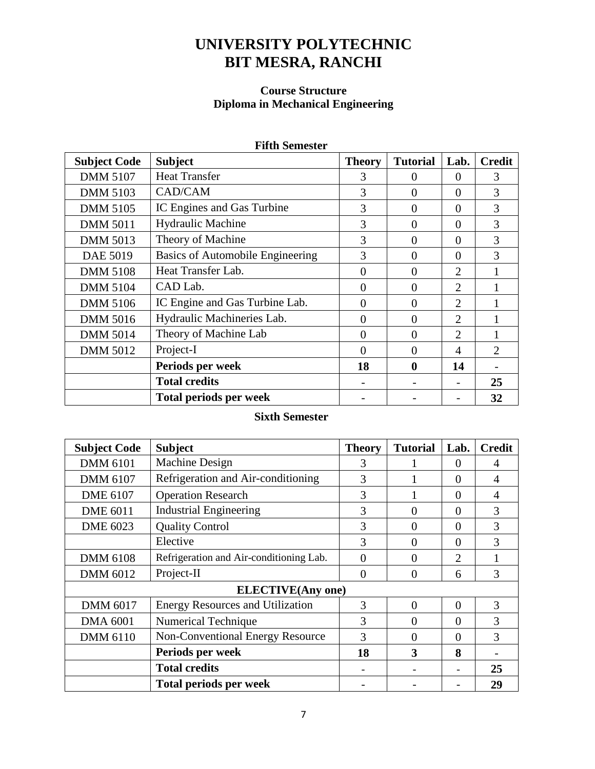### **Course Structure Diploma in Mechanical Engineering**

| <b>Subject Code</b> | <b>Subject</b>                   | <b>Theory</b> | <b>Tutorial</b> | Lab.           | <b>Credit</b> |  |  |
|---------------------|----------------------------------|---------------|-----------------|----------------|---------------|--|--|
| <b>DMM 5107</b>     | <b>Heat Transfer</b>             | 3             | $\Omega$        | $\Omega$       | 3             |  |  |
| <b>DMM 5103</b>     | CAD/CAM                          | 3             | $\Omega$        | $\Omega$       | 3             |  |  |
| <b>DMM 5105</b>     | IC Engines and Gas Turbine       | 3             | $\Omega$        | $\Omega$       | 3             |  |  |
| <b>DMM 5011</b>     | <b>Hydraulic Machine</b>         | 3             | $\Omega$        | $\Omega$       | 3             |  |  |
| <b>DMM 5013</b>     | Theory of Machine                | 3             | $\Omega$        | $\Omega$       | 3             |  |  |
| DAE 5019            | Basics of Automobile Engineering | 3             | $\overline{0}$  | $\Omega$       | 3             |  |  |
| <b>DMM 5108</b>     | Heat Transfer Lab.               | $\Omega$      | $\Omega$        |                |               |  |  |
| <b>DMM 5104</b>     | CAD Lab.                         | $\Omega$      | $\Omega$        | $\overline{2}$ |               |  |  |
| <b>DMM 5106</b>     | IC Engine and Gas Turbine Lab.   | $\Omega$      | $\Omega$        | 2              |               |  |  |
| <b>DMM 5016</b>     | Hydraulic Machineries Lab.       | $\Omega$      | $\Omega$        | 2              |               |  |  |
| <b>DMM 5014</b>     | Theory of Machine Lab            | $\Omega$      | $\Omega$        | 2              |               |  |  |
| <b>DMM 5012</b>     | Project-I                        | $\Omega$      | $\Omega$        | $\overline{4}$ | 2             |  |  |
|                     | Periods per week                 | 18            | $\mathbf 0$     | 14             |               |  |  |
|                     | <b>Total credits</b>             |               |                 |                | 25            |  |  |
|                     | <b>Total periods per week</b>    |               |                 |                | 32            |  |  |

#### **Fifth Semester**

| <b>Subject Code</b> | <b>Subject</b>                          | <b>Theory</b> | <b>Tutorial</b> | Lab.           | <b>Credit</b>  |
|---------------------|-----------------------------------------|---------------|-----------------|----------------|----------------|
| <b>DMM 6101</b>     | Machine Design                          | 3             |                 | $\Omega$       | 4              |
| <b>DMM 6107</b>     | Refrigeration and Air-conditioning      | 3             |                 | $\theta$       | 4              |
| <b>DME 6107</b>     | <b>Operation Research</b>               | 3             |                 | $\Omega$       | $\overline{4}$ |
| <b>DME 6011</b>     | <b>Industrial Engineering</b>           | 3             | 0               | $\Omega$       | 3              |
| <b>DME 6023</b>     | <b>Quality Control</b>                  | 3             | 0               | $\Omega$       | 3              |
|                     | Elective                                | $\mathcal{R}$ | 0               | $\Omega$       | 3              |
| <b>DMM 6108</b>     | Refrigeration and Air-conditioning Lab. | 0             | $\theta$        | $\overline{2}$ |                |
| <b>DMM 6012</b>     | Project-II                              | $\Omega$      | $\Omega$        | 6              | 3              |
|                     | <b>ELECTIVE(Any one)</b>                |               |                 |                |                |
| <b>DMM 6017</b>     | <b>Energy Resources and Utilization</b> | 3             | $\theta$        | $\Omega$       | 3              |
| <b>DMA 6001</b>     | <b>Numerical Technique</b>              | 3             | $\Omega$        | $\Omega$       | 3              |
| <b>DMM 6110</b>     | <b>Non-Conventional Energy Resource</b> | 3             | 0               | $\Omega$       | 3              |
|                     | Periods per week                        | 18            | 3               | 8              |                |
|                     | <b>Total credits</b>                    |               |                 |                | 25             |
|                     | Total periods per week                  |               |                 |                | 29             |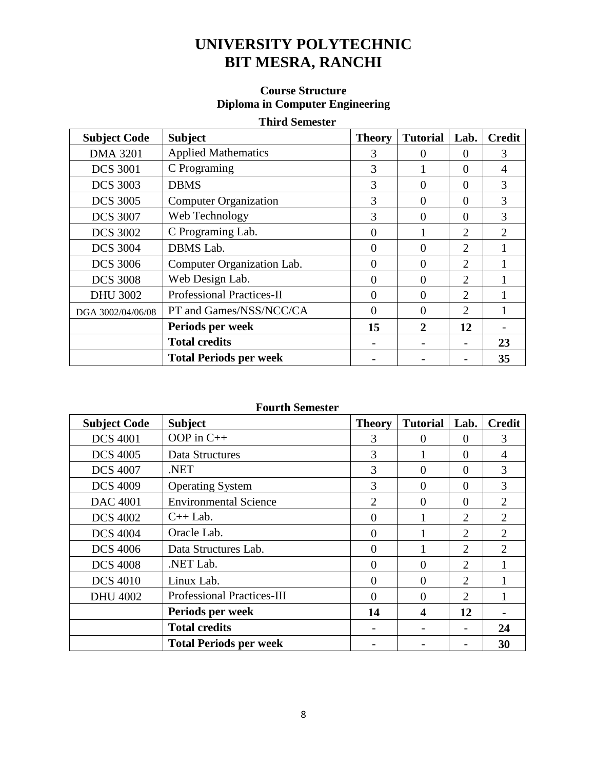### **Course Structure Diploma in Computer Engineering**

### **Third Semester**

| <b>Subject Code</b> | <b>Subject</b>                   | <b>Theory</b>     | <b>Tutorial</b> | Lab.                        | <b>Credit</b> |
|---------------------|----------------------------------|-------------------|-----------------|-----------------------------|---------------|
| <b>DMA 3201</b>     | <b>Applied Mathematics</b>       | 3                 |                 | $\theta$                    | 3             |
| <b>DCS 3001</b>     | C Programing                     | 3                 |                 | $\Omega$                    | 4             |
| <b>DCS 3003</b>     | <b>DBMS</b>                      | 3                 | $\Omega$        | $\Omega$                    | 3             |
| <b>DCS 3005</b>     | <b>Computer Organization</b>     | 3                 | $\Omega$        | $\Omega$                    | 3             |
| <b>DCS 3007</b>     | Web Technology                   | 3                 | $\Omega$        | $\Omega$                    | 3             |
| <b>DCS 3002</b>     | C Programing Lab.                | 0                 |                 | $\overline{2}$              | $\mathcal{D}$ |
| <b>DCS 3004</b>     | DBMS Lab.                        | 0                 | $\Omega$        | $\mathcal{D}_{\mathcal{L}}$ |               |
| <b>DCS 3006</b>     | Computer Organization Lab.       | 0                 | $\Omega$        | $\mathcal{D}_{\mathcal{L}}$ |               |
| <b>DCS 3008</b>     | Web Design Lab.                  |                   | $\Omega$        | $\mathcal{D}_{\mathcal{L}}$ |               |
| <b>DHU 3002</b>     | <b>Professional Practices-II</b> | 0                 | $\Omega$        | $\overline{2}$              |               |
| DGA 3002/04/06/08   | PT and Games/NSS/NCC/CA          | $\mathbf{\Omega}$ | $\Omega$        | $\mathcal{D}_{\mathcal{L}}$ |               |
|                     | Periods per week                 | 15                | 2               | 12                          |               |
|                     | <b>Total credits</b>             |                   |                 |                             | 23            |
|                     | <b>Total Periods per week</b>    |                   |                 |                             | 35            |

| <b>Subject Code</b> | <b>Subject</b>                    | <b>Theory</b>  | <b>Tutorial</b>  | Lab.           | <b>Credit</b>               |
|---------------------|-----------------------------------|----------------|------------------|----------------|-----------------------------|
| <b>DCS 4001</b>     | OOP in $C++$                      | 3              | $\Omega$         | $\theta$       | 3                           |
| <b>DCS 4005</b>     | Data Structures                   | 3              |                  | $\Omega$       | 4                           |
| <b>DCS 4007</b>     | NET.                              | 3              | $\Omega$         | $\Omega$       | 3                           |
| <b>DCS 4009</b>     | <b>Operating System</b>           | 3              | $\Omega$         | $\Omega$       | 3                           |
| <b>DAC 4001</b>     | <b>Environmental Science</b>      | $\overline{2}$ | $\Omega$         | $\Omega$       | 2                           |
| <b>DCS 4002</b>     | $C++$ Lab.                        | $\Omega$       |                  | $\overline{2}$ | $\mathcal{D}_{\mathcal{L}}$ |
| <b>DCS 4004</b>     | Oracle Lab.                       | 0              |                  | 2              | 2                           |
| <b>DCS 4006</b>     | Data Structures Lab.              | $\Omega$       |                  | 2              | $\mathcal{D}_{\mathcal{L}}$ |
| <b>DCS 4008</b>     | .NET Lab.                         | 0              | $\Omega$         | 2              |                             |
| <b>DCS 4010</b>     | Linux Lab.                        | $\Omega$       | $\Omega$         | $\overline{2}$ |                             |
| <b>DHU 4002</b>     | <b>Professional Practices-III</b> | $\Omega$       | $\Omega$         | 2              |                             |
|                     | Periods per week                  | 14             | $\boldsymbol{4}$ | 12             |                             |
|                     | <b>Total credits</b>              |                |                  |                | 24                          |
|                     | <b>Total Periods per week</b>     |                |                  |                | 30                          |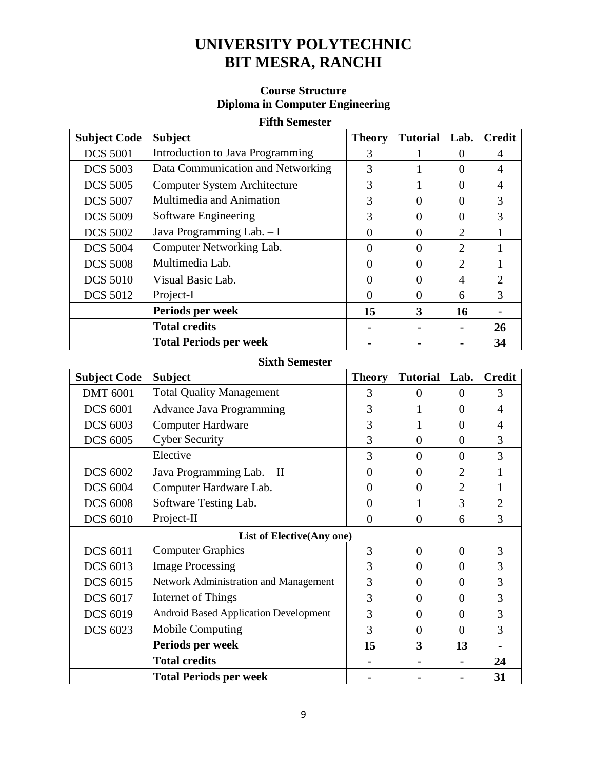### **Course Structure Diploma in Computer Engineering**

### **Fifth Semester**

| <b>Subject Code</b> | <b>Subject</b>                      | <b>Theory</b> | <b>Tutorial</b> | Lab.                        | <b>Credit</b>  |
|---------------------|-------------------------------------|---------------|-----------------|-----------------------------|----------------|
| <b>DCS 5001</b>     | Introduction to Java Programming    | 3             |                 | $\mathbf{\Omega}$           | 4              |
| <b>DCS 5003</b>     | Data Communication and Networking   | 3             |                 | $\theta$                    | 4              |
| <b>DCS 5005</b>     | <b>Computer System Architecture</b> | 3             |                 | $\Omega$                    | 4              |
| <b>DCS 5007</b>     | Multimedia and Animation            | 3             | 0               | 0                           | 3              |
| <b>DCS 5009</b>     | Software Engineering                | 3             | 0               | $\Omega$                    | 3              |
| <b>DCS 5002</b>     | Java Programming Lab. - I           | 0             | ∩               | $\mathcal{D}_{\mathcal{L}}$ |                |
| <b>DCS 5004</b>     | Computer Networking Lab.            | 0             | 0               | 2                           |                |
| <b>DCS 5008</b>     | Multimedia Lab.                     | 0             | $\Omega$        | $\overline{2}$              |                |
| <b>DCS 5010</b>     | Visual Basic Lab.                   | 0             | 0               | 4                           | $\mathfrak{D}$ |
| <b>DCS 5012</b>     | Project-I                           | 0             | 0               | 6                           | 3              |
|                     | Periods per week                    | 15            | 3               | 16                          |                |
|                     | <b>Total credits</b>                |               |                 |                             | 26             |
|                     | <b>Total Periods per week</b>       |               |                 |                             | 34             |

| <b>Subject Code</b> | <b>Subject</b>                               | <b>Theory</b>  | <b>Tutorial</b> | Lab.           | <b>Credit</b>  |
|---------------------|----------------------------------------------|----------------|-----------------|----------------|----------------|
| <b>DMT 6001</b>     | <b>Total Quality Management</b>              | 3              | $\overline{0}$  | $\theta$       | 3              |
| <b>DCS 6001</b>     | <b>Advance Java Programming</b>              | 3              |                 | $\theta$       | 4              |
| <b>DCS 6003</b>     | <b>Computer Hardware</b>                     | 3              |                 | $\theta$       | 4              |
| <b>DCS 6005</b>     | <b>Cyber Security</b>                        | 3              | $\overline{0}$  | $\theta$       | 3              |
|                     | Elective                                     | 3              | $\overline{0}$  | $\theta$       | 3              |
| <b>DCS 6002</b>     | Java Programming Lab. - II                   | $\overline{0}$ | $\theta$        | $\overline{2}$ | 1              |
| <b>DCS 6004</b>     | Computer Hardware Lab.                       | $\overline{0}$ | $\theta$        | $\overline{2}$ |                |
| <b>DCS 6008</b>     | Software Testing Lab.                        | $\overline{0}$ | 1               | 3              | $\overline{2}$ |
| <b>DCS 6010</b>     | Project-II                                   | $\theta$       | $\overline{0}$  | 6              | 3              |
|                     | <b>List of Elective(Any one)</b>             |                |                 |                |                |
| <b>DCS 6011</b>     | <b>Computer Graphics</b>                     | 3              | $\theta$        | $\theta$       | 3              |
| <b>DCS 6013</b>     | <b>Image Processing</b>                      | 3              | $\overline{0}$  | $\theta$       | 3              |
| <b>DCS 6015</b>     | Network Administration and Management        | 3              | $\overline{0}$  | $\Omega$       | 3              |
| <b>DCS 6017</b>     | Internet of Things                           | 3              | $\theta$        | $\Omega$       | 3              |
| <b>DCS 6019</b>     | <b>Android Based Application Development</b> | 3              | $\overline{0}$  | $\theta$       | 3              |
| <b>DCS 6023</b>     | <b>Mobile Computing</b>                      | 3              | $\theta$        | $\theta$       | 3              |
|                     | Periods per week                             | 15             | 3               | 13             |                |
|                     | <b>Total credits</b>                         |                |                 |                | 24             |
|                     | <b>Total Periods per week</b>                |                |                 |                | 31             |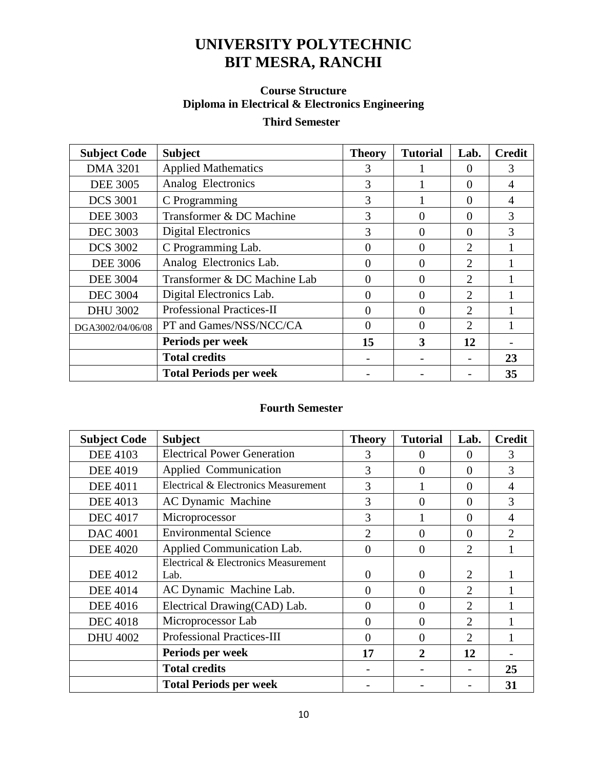# **Course Structure Diploma in Electrical & Electronics Engineering**

# **Third Semester**

| <b>Subject Code</b> | <b>Subject</b>                   | <b>Theory</b> | <b>Tutorial</b> | Lab.                        | <b>Credit</b> |
|---------------------|----------------------------------|---------------|-----------------|-----------------------------|---------------|
| <b>DMA 3201</b>     | <b>Applied Mathematics</b>       | 3             |                 | $\theta$                    | 3             |
| <b>DEE 3005</b>     | Analog Electronics               | 3             |                 | $\Omega$                    |               |
| <b>DCS 3001</b>     | C Programming                    | 3             |                 | $\Omega$                    | 4             |
| <b>DEE 3003</b>     | Transformer & DC Machine         | 3             | $\Omega$        | $\theta$                    | 3             |
| <b>DEC 3003</b>     | Digital Electronics              | 3             | 0               | $\Omega$                    | 3             |
| <b>DCS 3002</b>     | C Programming Lab.               | 0             | $\theta$        | $\mathcal{D}_{\mathcal{L}}$ |               |
| <b>DEE 3006</b>     | Analog Electronics Lab.          | 0             | $\Omega$        | $\mathcal{D}_{\mathcal{L}}$ |               |
| <b>DEE 3004</b>     | Transformer & DC Machine Lab     | 0             | $\Omega$        | $\overline{2}$              |               |
| <b>DEC 3004</b>     | Digital Electronics Lab.         | 0             | $\theta$        | $\mathcal{D}_{\mathcal{A}}$ |               |
| <b>DHU 3002</b>     | <b>Professional Practices-II</b> | $\Omega$      | $\Omega$        | $\overline{2}$              |               |
| DGA3002/04/06/08    | PT and Games/NSS/NCC/CA          | 0             | 0               | $\overline{2}$              |               |
|                     | Periods per week                 | 15            | 3               | 12                          |               |
|                     | <b>Total credits</b>             |               |                 |                             | 23            |
|                     | <b>Total Periods per week</b>    |               |                 |                             | 35            |

| <b>Subject Code</b> | <b>Subject</b>                       | <b>Theory</b>  | <b>Tutorial</b> | Lab.           | <b>Credit</b>  |
|---------------------|--------------------------------------|----------------|-----------------|----------------|----------------|
| <b>DEE 4103</b>     | <b>Electrical Power Generation</b>   | 3              | $\Omega$        | $\Omega$       | 3              |
| <b>DEE 4019</b>     | Applied Communication                | 3              | $\overline{0}$  | $\Omega$       | 3              |
| <b>DEE 4011</b>     | Electrical & Electronics Measurement | 3              |                 | $\theta$       | $\overline{4}$ |
| <b>DEE 4013</b>     | <b>AC Dynamic Machine</b>            | 3              | $\Omega$        | $\Omega$       | 3              |
| <b>DEC 4017</b>     | Microprocessor                       | 3              |                 | $\Omega$       | $\overline{4}$ |
| <b>DAC 4001</b>     | <b>Environmental Science</b>         | $\overline{2}$ | $\theta$        | $\Omega$       | $\overline{2}$ |
| <b>DEE 4020</b>     | Applied Communication Lab.           | $\theta$       | $\Omega$        | $\overline{2}$ |                |
|                     | Electrical & Electronics Measurement |                |                 |                |                |
| <b>DEE 4012</b>     | Lab.                                 | 0              | $\Omega$        | $\overline{2}$ |                |
| <b>DEE 4014</b>     | AC Dynamic Machine Lab.              | $\Omega$       | $\overline{0}$  | $\overline{2}$ |                |
| <b>DEE 4016</b>     | Electrical Drawing(CAD) Lab.         | $\Omega$       | $\Omega$        | $\overline{2}$ |                |
| <b>DEC</b> 4018     | Microprocessor Lab                   | 0              | $\Omega$        | $\overline{2}$ |                |
| <b>DHU 4002</b>     | <b>Professional Practices-III</b>    | $\Omega$       | $\Omega$        | $\overline{2}$ |                |
|                     | Periods per week                     | 17             | $\overline{2}$  | 12             |                |
|                     | <b>Total credits</b>                 |                |                 |                | 25             |
|                     | <b>Total Periods per week</b>        |                |                 |                | 31             |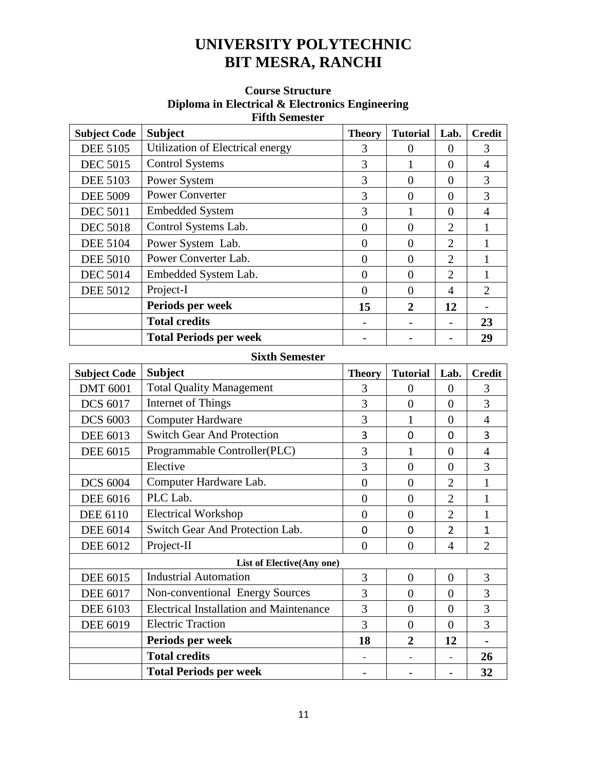#### **Course Structure Diploma in Electrical & Electronics Engineering Fifth Semester**

| <b>Subject Code</b> | <b>Subject</b>                   | <b>Theory</b>  | <b>Tutorial</b> | Lab.           | <b>Credit</b>  |
|---------------------|----------------------------------|----------------|-----------------|----------------|----------------|
| <b>DEE 5105</b>     | Utilization of Electrical energy | 3              | $\Omega$        | 0              | 3              |
| <b>DEC 5015</b>     | <b>Control Systems</b>           | 3              |                 | 0              | 4              |
| <b>DEE 5103</b>     | Power System                     | 3              | $\theta$        | $\theta$       | 3              |
| <b>DEE 5009</b>     | <b>Power Converter</b>           | 3              | $\theta$        | $\theta$       | 3              |
| <b>DEC 5011</b>     | <b>Embedded System</b>           | 3              |                 | 0              | 4              |
| <b>DEC 5018</b>     | Control Systems Lab.             | $\overline{0}$ | $\Omega$        | 2              |                |
| <b>DEE 5104</b>     | Power System Lab.                | $\theta$       | $\theta$        | $\overline{2}$ |                |
| <b>DEE 5010</b>     | Power Converter Lab.             | $\overline{0}$ | $\theta$        | $\overline{2}$ |                |
| <b>DEC 5014</b>     | Embedded System Lab.             | $\overline{0}$ | $\theta$        | $\overline{2}$ |                |
| <b>DEE 5012</b>     | Project-I                        | $\theta$       | $\theta$        | 4              | $\overline{2}$ |
|                     | Periods per week                 | 15             | $\overline{2}$  | 12             |                |
|                     | <b>Total credits</b>             |                |                 |                | 23             |
|                     | <b>Total Periods per week</b>    |                |                 |                | 29             |

| <b>Subject Code</b> | <b>Subject</b>                                 | <b>Theory</b>  | <b>Tutorial</b> | Lab.           | <b>Credit</b>  |
|---------------------|------------------------------------------------|----------------|-----------------|----------------|----------------|
| <b>DMT 6001</b>     | <b>Total Quality Management</b>                | 3              | $\overline{0}$  | $\theta$       | 3              |
| <b>DCS 6017</b>     | Internet of Things                             | 3              | $\theta$        | $\overline{0}$ | 3              |
| <b>DCS 6003</b>     | <b>Computer Hardware</b>                       | 3              |                 | $\theta$       | 4              |
| <b>DEE 6013</b>     | <b>Switch Gear And Protection</b>              | 3              | $\mathbf 0$     | $\Omega$       | 3              |
| <b>DEE 6015</b>     | Programmable Controller(PLC)                   | 3              |                 | $\Omega$       | $\overline{4}$ |
|                     | Elective                                       | 3              | $\overline{0}$  | $\Omega$       | 3              |
| <b>DCS 6004</b>     | Computer Hardware Lab.                         | $\theta$       | $\overline{0}$  | $\overline{2}$ |                |
| <b>DEE 6016</b>     | PLC Lab.                                       | $\overline{0}$ | $\overline{0}$  | $\overline{2}$ |                |
| <b>DEE 6110</b>     | <b>Electrical Workshop</b>                     | $\theta$       | $\overline{0}$  | $\overline{2}$ |                |
| <b>DEE 6014</b>     | Switch Gear And Protection Lab.                | $\mathbf 0$    | $\mathbf 0$     | $\overline{2}$ | 1              |
| <b>DEE 6012</b>     | Project-II                                     | $\overline{0}$ | $\overline{0}$  | $\overline{4}$ | $\overline{2}$ |
|                     | List of Elective(Any one)                      |                |                 |                |                |
| <b>DEE 6015</b>     | <b>Industrial Automation</b>                   | $\overline{3}$ | $\overline{0}$  | $\overline{0}$ | 3              |
| <b>DEE 6017</b>     | Non-conventional Energy Sources                | 3              | $\overline{0}$  | $\theta$       | 3              |
| DEE 6103            | <b>Electrical Installation and Maintenance</b> | 3              | $\overline{0}$  | $\theta$       | 3              |
| <b>DEE 6019</b>     | <b>Electric Traction</b>                       | 3              | $\overline{0}$  | $\overline{0}$ | $\overline{3}$ |
|                     | Periods per week                               | 18             | $\overline{2}$  | 12             |                |
|                     | <b>Total credits</b>                           |                |                 |                | 26             |
|                     | <b>Total Periods per week</b>                  |                |                 |                | 32             |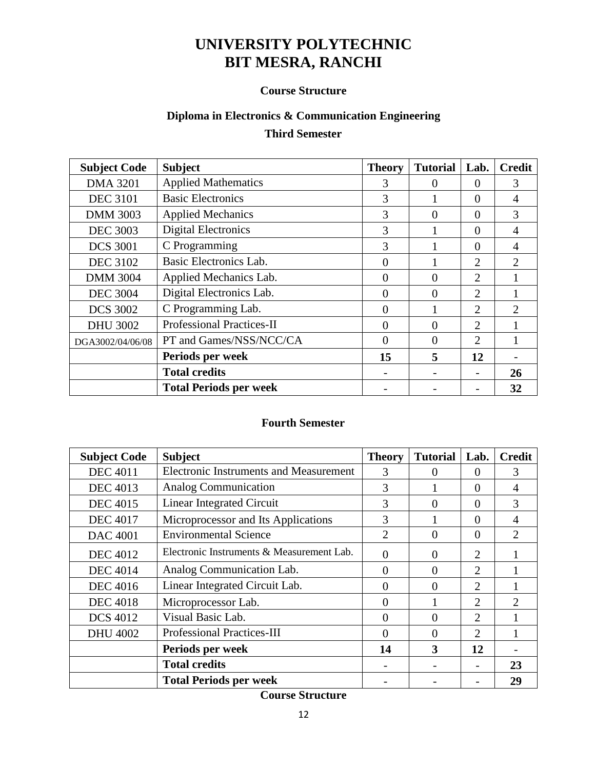#### **Course Structure**

# **Diploma in Electronics & Communication Engineering**

## **Third Semester**

| <b>Subject Code</b> | <b>Subject</b>                   | <b>Theory</b> | <b>Tutorial</b> | Lab.           | <b>Credit</b>         |
|---------------------|----------------------------------|---------------|-----------------|----------------|-----------------------|
| <b>DMA 3201</b>     | <b>Applied Mathematics</b>       | 3             | $\theta$        | $\theta$       | 3                     |
| <b>DEC 3101</b>     | <b>Basic Electronics</b>         | 3             |                 | $\Omega$       | 4                     |
| <b>DMM 3003</b>     | <b>Applied Mechanics</b>         | 3             | $\Omega$        | $\Omega$       | 3                     |
| <b>DEC 3003</b>     | <b>Digital Electronics</b>       | 3             |                 | $\Omega$       | 4                     |
| <b>DCS 3001</b>     | C Programming                    | 3             |                 | $\Omega$       | 4                     |
| <b>DEC 3102</b>     | Basic Electronics Lab.           | $\theta$      |                 | 2              | $\mathfrak{2}$        |
| <b>DMM 3004</b>     | Applied Mechanics Lab.           | $\theta$      | 0               | $\overline{2}$ |                       |
| <b>DEC 3004</b>     | Digital Electronics Lab.         | 0             | $\Omega$        | 2              |                       |
| <b>DCS 3002</b>     | C Programming Lab.               | 0             |                 | 2              | $\mathcal{D}_{\cdot}$ |
| <b>DHU 3002</b>     | <b>Professional Practices-II</b> | $\Omega$      | $\theta$        | 2              |                       |
| DGA3002/04/06/08    | PT and Games/NSS/NCC/CA          | 0             | $\Omega$        | 2              |                       |
|                     | Periods per week                 | 15            | 5               | 12             |                       |
|                     | <b>Total credits</b>             |               |                 |                | 26                    |
|                     | <b>Total Periods per week</b>    |               |                 |                | 32                    |

#### **Fourth Semester**

| <b>Subject Code</b> | <b>Subject</b>                                | <b>Theory</b>  | <b>Tutorial</b> | Lab.                        | <b>Credit</b>  |
|---------------------|-----------------------------------------------|----------------|-----------------|-----------------------------|----------------|
| <b>DEC 4011</b>     | <b>Electronic Instruments and Measurement</b> | 3              | $\Omega$        | $\theta$                    | 3              |
| <b>DEC 4013</b>     | <b>Analog Communication</b>                   | 3              |                 | $\Omega$                    | 4              |
| <b>DEC</b> 4015     | Linear Integrated Circuit                     | 3              | $\Omega$        | $\Omega$                    | 3              |
| <b>DEC 4017</b>     | Microprocessor and Its Applications           | 3              |                 | $\Omega$                    | 4              |
| <b>DAC 4001</b>     | <b>Environmental Science</b>                  | $\overline{2}$ | $\theta$        | $\Omega$                    | $\mathfrak{2}$ |
| <b>DEC 4012</b>     | Electronic Instruments & Measurement Lab.     | 0              | 0               | 2                           |                |
| <b>DEC 4014</b>     | Analog Communication Lab.                     | $\Omega$       | $\theta$        | 2                           |                |
| <b>DEC</b> 4016     | Linear Integrated Circuit Lab.                | $\theta$       | $\theta$        | 2                           |                |
| <b>DEC 4018</b>     | Microprocessor Lab.                           | $\Omega$       |                 | 2                           | 2              |
| <b>DCS</b> 4012     | Visual Basic Lab.                             | $\Omega$       | $\Omega$        | 2                           |                |
| <b>DHU 4002</b>     | <b>Professional Practices-III</b>             | $\Omega$       | $\Omega$        | $\mathcal{D}_{\mathcal{L}}$ |                |
|                     | Periods per week                              | 14             | 3               | 12                          |                |
|                     | <b>Total credits</b>                          |                |                 |                             | 23             |
|                     | <b>Total Periods per week</b>                 |                |                 |                             | 29             |

**Course Structure**